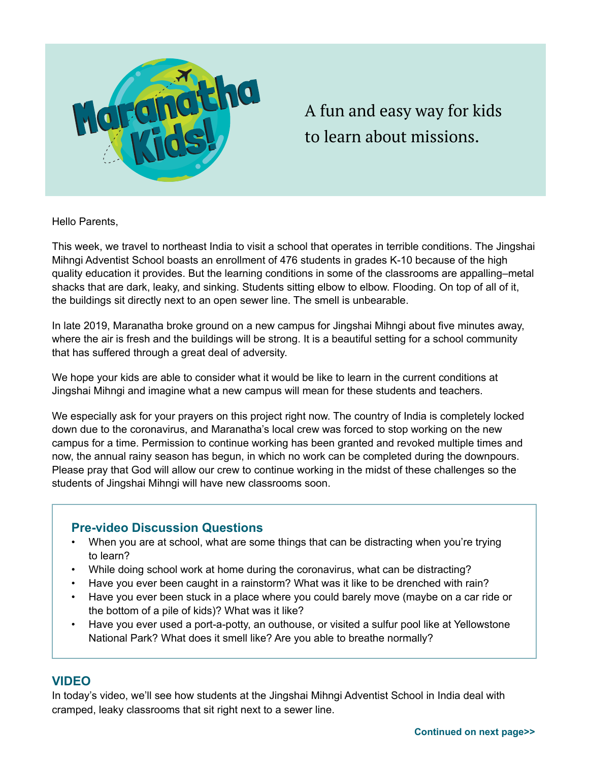

# A fun and easy way for kids to learn about missions.

Hello Parents,

This week, we travel to northeast India to visit a school that operates in terrible conditions. The Jingshai Mihngi Adventist School boasts an enrollment of 476 students in grades K-10 because of the high quality education it provides. But the learning conditions in some of the classrooms are appalling–metal shacks that are dark, leaky, and sinking. Students sitting elbow to elbow. Flooding. On top of all of it, the buildings sit directly next to an open sewer line. The smell is unbearable.

In late 2019, Maranatha broke ground on a new campus for Jingshai Mihngi about five minutes away, where the air is fresh and the buildings will be strong. It is a beautiful setting for a school community that has suffered through a great deal of adversity.

We hope your kids are able to consider what it would be like to learn in the current conditions at Jingshai Mihngi and imagine what a new campus will mean for these students and teachers.

We especially ask for your prayers on this project right now. The country of India is completely locked down due to the coronavirus, and Maranatha's local crew was forced to stop working on the new campus for a time. Permission to continue working has been granted and revoked multiple times and now, the annual rainy season has begun, in which no work can be completed during the downpours. Please pray that God will allow our crew to continue working in the midst of these challenges so the students of Jingshai Mihngi will have new classrooms soon.

### **Pre-video Discussion Questions**

- When you are at school, what are some things that can be distracting when you're trying to learn?
- While doing school work at home during the coronavirus, what can be distracting?
- Have you ever been caught in a rainstorm? What was it like to be drenched with rain?
- Have you ever been stuck in a place where you could barely move (maybe on a car ride or the bottom of a pile of kids)? What was it like?
- Have you ever used a port-a-potty, an outhouse, or visited a sulfur pool like at Yellowstone National Park? What does it smell like? Are you able to breathe normally?

### **VIDEO**

In today's video, we'll see how students at the Jingshai Mihngi Adventist School in India deal with cramped, leaky classrooms that sit right next to a sewer line.